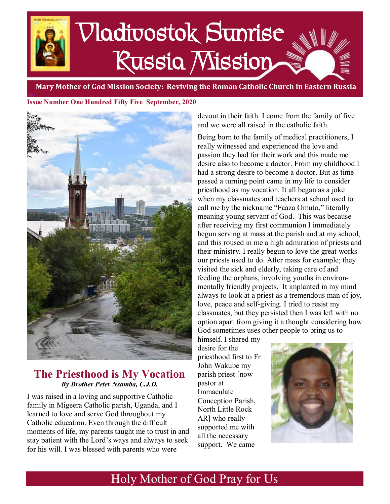# Vladivostok Sunrise Russia Mission

 **Mary Mother of God Mission Society: Reviving the Roman Catholic Church in Eastern Russia**

**the Issue Number One Hundred Fifty Five September, 2020** 



# **The Priesthood is My Vocation**  *By Brother Peter Nsamba, C.J.D.*

I was raised in a loving and supportive Catholic family in Migeera Catholic parish, Uganda, and I learned to love and serve God throughout my Catholic education. Even through the difficult moments of life, my parents taught me to trust in and stay patient with the Lord's ways and always to seek for his will. I was blessed with parents who were

devout in their faith. I come from the family of five and we were all raised in the catholic faith.

Being born to the family of medical practitioners, I really witnessed and experienced the love and passion they had for their work and this made me desire also to become a doctor. From my childhood I had a strong desire to become a doctor. But as time passed a turning point came in my life to consider priesthood as my vocation. It all began as a joke when my classmates and teachers at school used to call me by the nickname "Faaza Omuto," literally meaning young servant of God. This was because after receiving my first communion I immediately begun serving at mass at the parish and at my school, and this roused in me a high admiration of priests and their ministry. I really begun to love the great works our priests used to do. After mass for example; they visited the sick and elderly, taking care of and feeding the orphans, involving youths in environmentally friendly projects. It implanted in my mind always to look at a priest as a tremendous man of joy, love, peace and self-giving. I tried to resist my classmates, but they persisted then I was left with no option apart from giving it a thought considering how God sometimes uses other people to bring us to

himself. I shared my desire for the priesthood first to Fr John Wakube my parish priest [now pastor at Immaculate Conception Parish, North Little Rock AR] who really supported me with all the necessary support. We came



# Holy Mother of God Pray for Us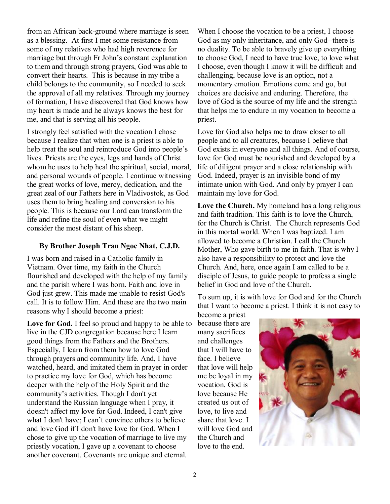from an African back-ground where marriage is seen as a blessing. At first I met some resistance from some of my relatives who had high reverence for marriage but through Fr John's constant explanation to them and through strong prayers, God was able to convert their hearts. This is because in my tribe a child belongs to the community, so I needed to seek the approval of all my relatives. Through my journey of formation, I have discovered that God knows how my heart is made and he always knows the best for me, and that is serving all his people.

I strongly feel satisfied with the vocation I chose because I realize that when one is a priest is able to help treat the soul and reintroduce God into people's lives. Priests are the eyes, legs and hands of Christ whom he uses to help heal the spiritual, social, moral, and personal wounds of people. I continue witnessing the great works of love, mercy, dedication, and the great zeal of our Fathers here in Vladivostok, as God uses them to bring healing and conversion to his people. This is because our Lord can transform the life and refine the soul of even what we might consider the most distant of his sheep.

### **By Brother Joseph Tran Ngoc Nhat, C.J.D.**

I was born and raised in a Catholic family in Vietnam. Over time, my faith in the Church flourished and developed with the help of my family and the parish where I was born. Faith and love in God just grew. This made me unable to resist God's call. It is to follow Him. And these are the two main reasons why I should become a priest:

**Love for God.** I feel so proud and happy to be able to live in the CJD congregation because here I learn good things from the Fathers and the Brothers. Especially, I learn from them how to love God through prayers and community life. And, I have watched, heard, and imitated them in prayer in order to practice my love for God, which has become deeper with the help of the Holy Spirit and the community's activities. Though I don't yet understand the Russian language when I pray, it doesn't affect my love for God. Indeed, I can't give what I don't have; I can't convince others to believe and love God if I don't have love for God. When I chose to give up the vocation of marriage to live my priestly vocation, I gave up a covenant to choose another covenant. Covenants are unique and eternal.

When I choose the vocation to be a priest, I choose God as my only inheritance, and only God--there is no duality. To be able to bravely give up everything to choose God, I need to have true love, to love what I choose, even though I know it will be difficult and challenging, because love is an option, not a momentary emotion. Emotions come and go, but choices are decisive and enduring. Therefore, the love of God is the source of my life and the strength that helps me to endure in my vocation to become a priest.

Love for God also helps me to draw closer to all people and to all creatures, because I believe that God exists in everyone and all things. And of course, love for God must be nourished and developed by a life of diligent prayer and a close relationship with God. Indeed, prayer is an invisible bond of my intimate union with God. And only by prayer I can maintain my love for God.

**Love the Church.** My homeland has a long religious and faith tradition. This faith is to love the Church, for the Church is Christ. The Church represents God in this mortal world. When I was baptized. I am allowed to become a Christian. I call the Church Mother, Who gave birth to me in faith. That is why I also have a responsibility to protect and love the Church. And, here, once again I am called to be a disciple of Jesus, to guide people to profess a single belief in God and love of the Church.

To sum up, it is with love for God and for the Church that I want to become a priest. I think it is not easy to

become a priest because there are many sacrifices and challenges that I will have to face. I believe that love will help me be loyal in my vocation. God is love because He created us out of love, to live and share that love. I will love God and the Church and love to the end.

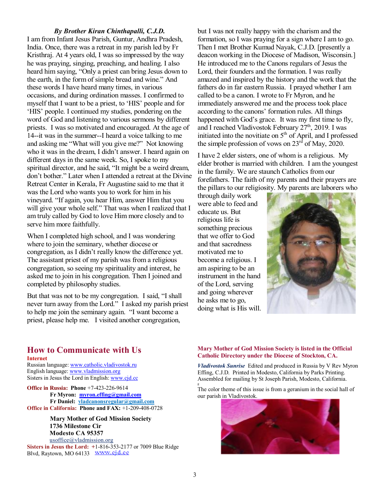### *By Brother Kiran Chinthapalli, C.J.D.*

I am from Infant Jesus Parish, Guntur, Andhra Pradesh, India. Once, there was a retreat in my parish led by Fr Kristhraj. At 4 years old, I was so impressed by the way he was praying, singing, preaching, and healing. I also heard him saying, "Only a priest can bring Jesus down to the earth, in the form of simple bread and wine." And these words I have heard many times, in various occasions, and during ordination masses. I confirmed to myself that I want to be a priest, to 'HIS' people and for 'HIS' people. I continued my studies, pondering on the word of God and listening to various sermons by different priests. I was so motivated and encouraged. At the age of 14--it was in the summer--I heard a voice talking to me and asking me "What will you give me?" Not knowing who it was in the dream, I didn't answer. I heard again on different days in the same week. So, I spoke to my spiritual director, and he said, "It might be a weird dream, don't bother." Later when I attended a retreat at the Divine Retreat Center in Kerala, Fr Augustine said to me that it was the Lord who wants you to work for him in his vineyard. "If again, you hear Him, answer Him that you will give your whole self." That was when I realized that I am truly called by God to love Him more closely and to serve him more faithfully.

When I completed high school, and I was wondering where to join the seminary, whether diocese or congregation, as I didn't really know the difference yet. The assistant priest of my parish was from a religious congregation, so seeing my spirituality and interest, he asked me to join in his congregation. Then I joined and completed by philosophy studies.

But that was not to be my congregation. I said, "I shall never turn away from the Lord." I asked my parish priest to help me join the seminary again. "I want become a priest, please help me. I visited another congregation,

but I was not really happy with the charism and the formation, so I was praying for a sign where I am to go. Then I met Brother Kumud Nayak, C.J.D. [presently a deacon working in the Diocese of Madison, Wisconsin.] He introduced me to the Canons regulars of Jesus the Lord, their founders and the formation. I was really amazed and inspired by the history and the work that the fathers do in far eastern Russia. I prayed whether I am called to be a canon. I wrote to Fr Myron, and he immediately answered me and the process took place according to the canons' formation rules. All things happened with God's grace. It was my first time to fly, and I reached Vladivostok February  $27<sup>th</sup>$ , 2019. I was initiated into the novitiate on  $5<sup>th</sup>$  of April, and I professed the simple profession of vows on  $23<sup>rd</sup>$  of May, 2020.

I have 2 elder sisters, one of whom is a religious. My elder brother is married with children. I am the youngest in the family. We are staunch Catholics from our forefathers. The faith of my parents and their prayers are the pillars to our religiosity. My parents are laborers who

through daily work were able to feed and educate us. But religious life is something precious that we offer to God and that sacredness motivated me to become a religious. I am aspiring to be an instrument in the hand of the Lord, serving and going wherever he asks me to go, doing what is His will.



### **How to Communicate with Us Internet**

Russian language: [www.catholic.vladivostok.ru](http://www.catholic.vladivostok.ru) English language: [www.vladmission.org](http://www.vladmission.org) Sisters in Jesus the Lord in English: [www.cjd.cc](http://www.cjd.cc)

**Office in Russia: Phone** +7-423-226-9614 **Fr Myron: [myron.effing@gmail.com](mailto:myron.effing@gmail.com) Fr Daniel: [vladcanonsregular@gmail.com](mailto:vladcanonsregular@gmail.com) Office in California: Phone and FAX:** +1-209-408-0728

> **Mary Mother of God Mission Society 1736 Milestone Cir Modesto CA 95357**  [usoffice@vladmission.org](mailto:usoffice@vladmission.org)

**Sisters in Jesus the Lord: +**1-816-353-2177 or 7009 Blue Ridge Blvd, Raytown, MO 64133 WWW.cjd.cc

#### **Mary Mother of God Mission Society is listed in the Official Catholic Directory under the Diocese of Stockton, CA.**

*Vladivostok Sunrise*Edited and produced in Russia by V Rev Myron Effing, C.J.D. Printed in Modesto, California by Parks Printing. Assembled for mailing by St Joseph Parish, Modesto, California.

The color theme of this issue is from a geranium in the social hall of our parish in Vladivostok.



g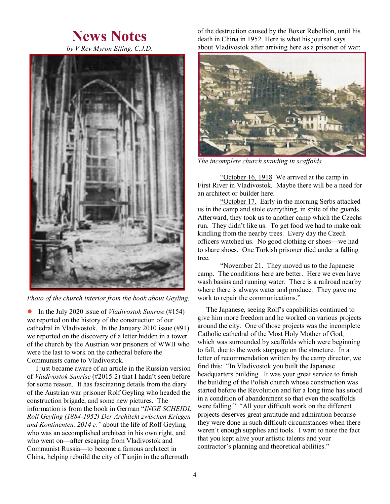# **News Notes**



*Photo of the church interior from the book about Geyling.* 

● In the July 2020 issue of *Vladivostok Sunrise* (#154) we reported on the history of the construction of our cathedral in Vladivostok. In the January 2010 issue (#91) we reported on the discovery of a letter hidden in a tower of the church by the Austrian war prisoners of WWII who were the last to work on the cathedral before the Communists came to Vladivostok.

I just became aware of an article in the Russian version of *Vladivostok Sunrise* (#2015-2) that I hadn't seen before for some reason. It has fascinating details from the diary of the Austrian war prisoner Rolf Geyling who headed the construction brigade, and some new pictures. The information is from the book in German "*INGE SCHEIDL Rolf Geyling (1884-1952) Der Architekt zwischen Kriegen und Kontinenten. 2014 г."* about the life of Rolf Geyling who was an accomplished architect in his own right, and who went on—after escaping from Vladivostok and Communist Russia—to become a famous architect in China, helping rebuild the city of Tianjin in the aftermath

of the destruction caused by the Boxer Rebellion, until his death in China in 1952. Here is what his journal says about Vladivostok after arriving here as a prisoner of war:



*The incomplete church standing in scaffolds* 

"October 16, 1918 We arrived at the camp in First River in Vladivostok. Maybe there will be a need for an architect or builder here.

"October 17. Early in the morning Serbs attacked us in the camp and stole everything, in spite of the guards. Afterward, they took us to another camp which the Czechs run. They didn't like us. To get food we had to make oak kindling from the nearby trees. Every day the Czech officers watched us. No good clothing or shoes—we had to share shoes. One Turkish prisoner died under a falling tree.

"November 21. They moved us to the Japanese" camp. The conditions here are better. Here we even have wash basins and running water. There is a railroad nearby where there is always water and produce. They gave me work to repair the communications."

 The Japanese, seeing Rolf's capabilities continued to give him more freedom and he worked on various projects around the city. One of those projects was the incomplete Catholic cathedral of the Most Holy Mother of God, which was surrounded by scaffolds which were beginning to fall, due to the work stoppage on the structure. In a letter of recommendation written by the camp director, we find this: "In Vladivostok you built the Japanese headquarters building. It was your great service to finish the building of the Polish church whose construction was started before the Revolution and for a long time has stood in a condition of abandonment so that even the scaffolds were falling." "All your difficult work on the different projects deserves great gratitude and admiration because they were done in such difficult circumstances when there weren't enough supplies and tools. I want to note the fact that you kept alive your artistic talents and your contractor's planning and theoretical abilities."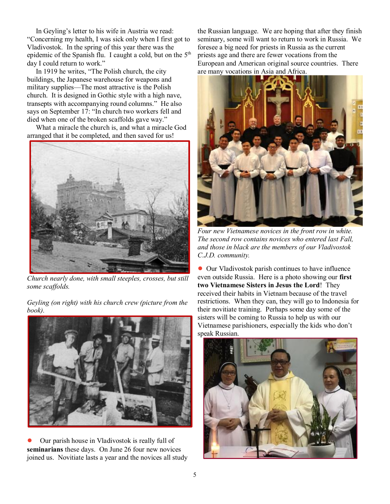In Geyling's letter to his wife in Austria we read: "Concerning my health, I was sick only when I first got to Vladivostok. In the spring of this year there was the epidemic of the Spanish flu. I caught a cold, but on the  $5<sup>th</sup>$ day I could return to work."

In 1919 he writes, "The Polish church, the city buildings, the Japanese warehouse for weapons and military supplies—The most attractive is the Polish church. It is designed in Gothic style with a high nave, transepts with accompanying round columns." He also says on September 17: "In church two workers fell and died when one of the broken scaffolds gave way."

What a miracle the church is, and what a miracle God arranged that it be completed, and then saved for us!



*Church nearly done, with small steeples, crosses, but still some scaffolds.* 

*Geyling (on right) with his church crew (picture from the book).* 



Our parish house in Vladivostok is really full of **seminarians** these days. On June 26 four new novices joined us. Novitiate lasts a year and the novices all study the Russian language. We are hoping that after they finish seminary, some will want to return to work in Russia. We foresee a big need for priests in Russia as the current priests age and there are fewer vocations from the European and American original source countries. There are many vocations in Asia and Africa.



*Four new Vietnamese novices in the front row in white. The second row contains novices who entered last Fall, and those in black are the members of our Vladivostok C.J.D. community.*

● Our Vladivostok parish continues to have influence even outside Russia. Here is a photo showing our **first two Vietnamese Sisters in Jesus the Lord**! They received their habits in Vietnam because of the travel restrictions. When they can, they will go to Indonesia for their novitiate training. Perhaps some day some of the sisters will be coming to Russia to help us with our Vietnamese parishioners, especially the kids who don't speak Russian.

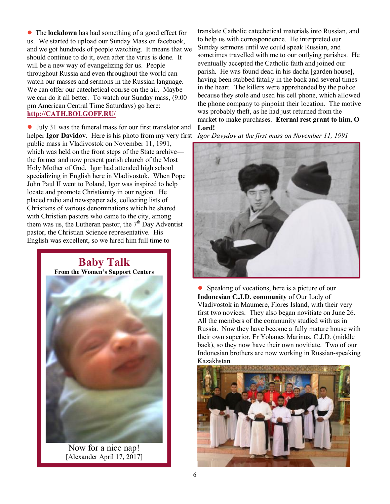● The **lockdown** has had something of a good effect for us. We started to upload our Sunday Mass on facebook, and we got hundreds of people watching. It means that we should continue to do it, even after the virus is done. It will be a new way of evangelizing for us. People throughout Russia and even throughout the world can watch our masses and sermons in the Russian language. We can offer our catechetical course on the air. Maybe we can do it all better. To watch our Sunday mass, (9:00 pm American Central Time Saturdays) go here: **<http://CATH.BOLGOFF.RU/>**

● July 31 was the funeral mass for our first translator and helper **Igor Davidov**. Here is his photo from my very first public mass in Vladivostok on November 11, 1991, which was held on the front steps of the State archive the former and now present parish church of the Most Holy Mother of God. Igor had attended high school specializing in English here in Vladivostok. When Pope John Paul II went to Poland, Igor was inspired to help locate and promote Christianity in our region. He placed radio and newspaper ads, collecting lists of Christians of various denominations which he shared with Christian pastors who came to the city, among them was us, the Lutheran pastor, the  $7<sup>th</sup>$  Day Adventist pastor, the Christian Science representative. His English was excellent, so we hired him full time to



Now for a nice nap! [Alexander April 17, 2017]

translate Catholic catechetical materials into Russian, and to help us with correspondence. He interpreted our Sunday sermons until we could speak Russian, and sometimes travelled with me to our outlying parishes. He eventually accepted the Catholic faith and joined our parish. He was found dead in his dacha [garden house], having been stabbed fatally in the back and several times in the heart. The killers were apprehended by the police because they stole and used his cell phone, which allowed the phone company to pinpoint their location. The motive was probably theft, as he had just returned from the market to make purchases. **Eternal rest grant to him, O Lord!**

*Igor Davydov at the first mass on November 11, 1991* 



● Speaking of vocations, here is a picture of our **Indonesian C.J.D. community** of Our Lady of Vladivostok in Maumere, Flores Island, with their very first two novices. They also began novitiate on June 26. All the members of the community studied with us in Russia. Now they have become a fully mature house with their own superior, Fr Yohanes Marinus, C.J.D. (middle back), so they now have their own novitiate. Two of our Indonesian brothers are now working in Russian-speaking Kazakhstan.

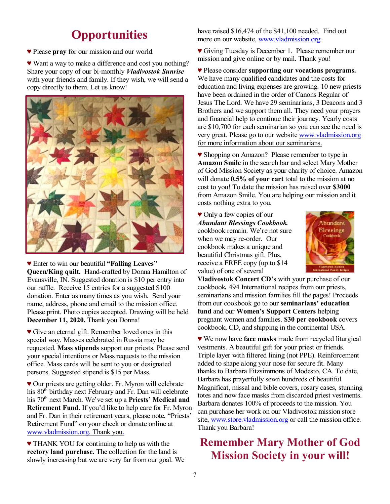# **Opportunities**

♥ Please **pray** for our mission and our world.

♥ Want a way to make a difference and cost you nothing? Share your copy of our bi-monthly *Vladivostok Sunrise* with your friends and family. If they wish, we will send a copy directly to them. Let us know!



♥ Enter to win our beautiful **"Falling Leaves" Queen/King quilt.** Hand-crafted by Donna Hamilton of Evansville, IN. Suggested donation is \$10 per entry into our raffle. Receive 15 entries for a suggested \$100 donation. Enter as many times as you wish. Send your name, address, phone and email to the mission office. Please print. Photo copies accepted. Drawing will be held **December 11, 2020.** Thank you Donna!

♥ Give an eternal gift. Remember loved ones in this special way. Masses celebrated in Russia may be requested. **Mass stipends** support our priests. Please send your special intentions or Massrequests to the mission office. Mass cards will be sent to you or designated persons. Suggested stipend is \$15 per Mass.

♥ Our priests are getting older. Fr. Myron will celebrate his 80<sup>th</sup> birthday next February and Fr. Dan will celebrate his 70th next March. We've set up a **Priests' Medical and Retirement Fund.** If you'd like to help care for Fr. Myron and Fr. Dan in their retirement years, please note, "Priests' Retirement Fund" on your check or donate online at [www.vladmission.org](http://www.vladmission.org). Thank you.

♥ THANK YOU for continuing to help us with the **rectory land purchase.** The collection for the land is slowly increasing but we are very far from our goal. We have raised \$16,474 of the \$41,100 needed. Find out more on our website, [www.vladmission.org](http://www.vladmission.org)

♥ Giving Tuesday is December 1. Please remember our mission and give online or by mail. Thank you!

♥ Please consider **supporting our vocations programs.**  We have many qualified candidates and the costs for education and living expenses are growing. 10 new priests have been ordained in the order of Canons Regular of Jesus The Lord. We have 29 seminarians, 3 Deacons and 3 Brothers and we support them all. They need your prayers and financial help to continue their journey. Yearly costs are \$10,700 for each seminarian so you can see the need is very great. Please go to our website [www.vladmission.org](http://www.vladmission.org) for more information about our seminarians.

♥ Shopping on Amazon? Please remember to type in **Amazon Smile** in the search bar and select Mary Mother of God Mission Society as your charity of choice. Amazon will donate **0.5% of your cart** total to the mission at no cost to you! To date the mission has raised over **\$3000**  from Amazon Smile. You are helping our mission and it costs nothing extra to you.

♥ Only a few copies of our *Abundant Blessings Cookbook.* cookbook remain. We're not sure when we may re-order. Our cookbook makes a unique and beautiful Christmas gift. Plus, receive a FREE copy (up to \$14 value) of one of several



**Vladivostok Concert CD's** with your purchase of our cookbook*.* 494 International recipes from our priests, seminarians and mission families fill the pages! Proceeds from our cookbook go to our **seminarians' education fund** and our **Women's Support Centers** helping pregnant women and families. **\$30 per cookbook** covers cookbook, CD, and shipping in the continental USA.

♥ We now have **face masks** made from recycled liturgical vestments. A beautiful gift for your priest or friends. Triple layer with filtered lining (not PPE). Reinforcement added to shape along your nose for secure fit. Many thanks to Barbara Fitzsimmons of Modesto, CA. To date, Barbara has prayerfully sewn hundreds of beautiful Magnificat, missal and bible covers, rosary cases, stunning totes and now face masks from discarded priest vestments. Barbara donates 100% of proceeds to the mission. You can purchase her work on our Vladivostok mission store site, [www.store.vladmission.org](http://www.store.vladmission.org) or call the mission office. Thank you Barbara!

# **Remember Mary Mother of God Mission Society in your will!**